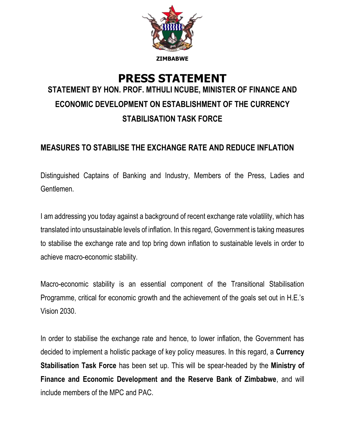

# **PRESS STATEMENT STATEMENT BY HON. PROF. MTHULI NCUBE, MINISTER OF FINANCE AND ECONOMIC DEVELOPMENT ON ESTABLISHMENT OF THE CURRENCY STABILISATION TASK FORCE**

### **MEASURES TO STABILISE THE EXCHANGE RATE AND REDUCE INFLATION**

Distinguished Captains of Banking and Industry, Members of the Press, Ladies and Gentlemen.

I am addressing you today against a background of recent exchange rate volatility, which has translated into unsustainable levels of inflation. In this regard, Government is taking measures to stabilise the exchange rate and top bring down inflation to sustainable levels in order to achieve macro-economic stability.

Macro-economic stability is an essential component of the Transitional Stabilisation Programme, critical for economic growth and the achievement of the goals set out in H.E.'s Vision 2030.

In order to stabilise the exchange rate and hence, to lower inflation, the Government has decided to implement a holistic package of key policy measures. In this regard, a **Currency Stabilisation Task Force** has been set up. This will be spear-headed by the **Ministry of Finance and Economic Development and the Reserve Bank of Zimbabwe**, and will include members of the MPC and PAC.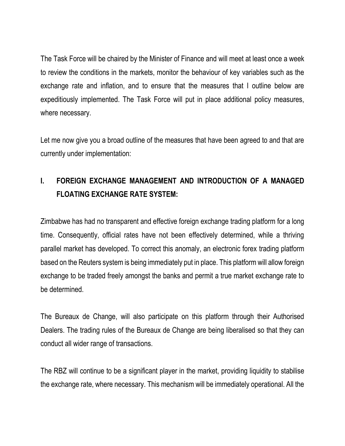The Task Force will be chaired by the Minister of Finance and will meet at least once a week to review the conditions in the markets, monitor the behaviour of key variables such as the exchange rate and inflation, and to ensure that the measures that I outline below are expeditiously implemented. The Task Force will put in place additional policy measures, where necessary.

Let me now give you a broad outline of the measures that have been agreed to and that are currently under implementation:

## **I. FOREIGN EXCHANGE MANAGEMENT AND INTRODUCTION OF A MANAGED FLOATING EXCHANGE RATE SYSTEM:**

Zimbabwe has had no transparent and effective foreign exchange trading platform for a long time. Consequently, official rates have not been effectively determined, while a thriving parallel market has developed. To correct this anomaly, an electronic forex trading platform based on the Reuters system is being immediately put in place. This platform will allow foreign exchange to be traded freely amongst the banks and permit a true market exchange rate to be determined.

The Bureaux de Change, will also participate on this platform through their Authorised Dealers. The trading rules of the Bureaux de Change are being liberalised so that they can conduct all wider range of transactions.

The RBZ will continue to be a significant player in the market, providing liquidity to stabilise the exchange rate, where necessary. This mechanism will be immediately operational. All the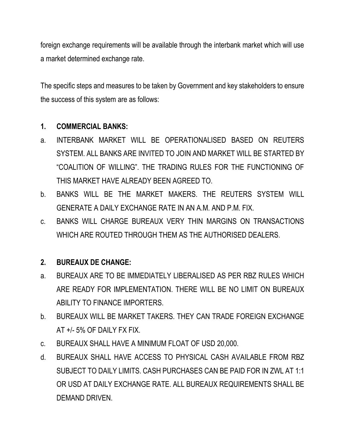foreign exchange requirements will be available through the interbank market which will use a market determined exchange rate.

The specific steps and measures to be taken by Government and key stakeholders to ensure the success of this system are as follows:

### **1. COMMERCIAL BANKS:**

- a. INTERBANK MARKET WILL BE OPERATIONALISED BASED ON REUTERS SYSTEM. ALL BANKS ARE INVITED TO JOIN AND MARKET WILL BE STARTED BY "COALITION OF WILLING". THE TRADING RULES FOR THE FUNCTIONING OF THIS MARKET HAVE ALREADY BEEN AGREED TO.
- b. BANKS WILL BE THE MARKET MAKERS. THE REUTERS SYSTEM WILL GENERATE A DAILY EXCHANGE RATE IN AN A.M. AND P.M. FIX.
- c. BANKS WILL CHARGE BUREAUX VERY THIN MARGINS ON TRANSACTIONS WHICH ARE ROUTED THROUGH THEM AS THE AUTHORISED DEALERS.

### **2. BUREAUX DE CHANGE:**

- a. BUREAUX ARE TO BE IMMEDIATELY LIBERALISED AS PER RBZ RULES WHICH ARE READY FOR IMPLEMENTATION. THERE WILL BE NO LIMIT ON BUREAUX ABILITY TO FINANCE IMPORTERS.
- b. BUREAUX WILL BE MARKET TAKERS. THEY CAN TRADE FOREIGN EXCHANGE AT +/- 5% OF DAILY FX FIX.
- c. BUREAUX SHALL HAVE A MINIMUM FLOAT OF USD 20,000.
- d. BUREAUX SHALL HAVE ACCESS TO PHYSICAL CASH AVAILABLE FROM RBZ SUBJECT TO DAILY LIMITS. CASH PURCHASES CAN BE PAID FOR IN ZWL AT 1:1 OR USD AT DAILY EXCHANGE RATE. ALL BUREAUX REQUIREMENTS SHALL BE DEMAND DRIVEN.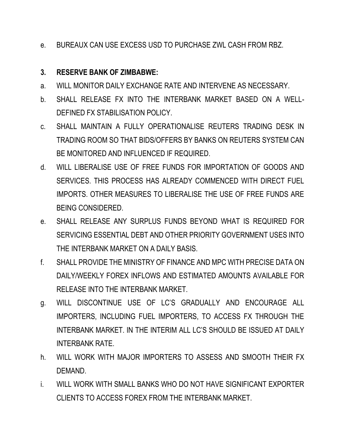e. BUREAUX CAN USE EXCESS USD TO PURCHASE ZWL CASH FROM RBZ.

### **3. RESERVE BANK OF ZIMBABWE:**

- a. WILL MONITOR DAILY EXCHANGE RATE AND INTERVENE AS NECESSARY.
- b. SHALL RELEASE FX INTO THE INTERBANK MARKET BASED ON A WELL-DEFINED FX STABILISATION POLICY.
- c. SHALL MAINTAIN A FULLY OPERATIONALISE REUTERS TRADING DESK IN TRADING ROOM SO THAT BIDS/OFFERS BY BANKS ON REUTERS SYSTEM CAN BE MONITORED AND INFLUENCED IF REQUIRED.
- d. WILL LIBERALISE USE OF FREE FUNDS FOR IMPORTATION OF GOODS AND SERVICES. THIS PROCESS HAS ALREADY COMMENCED WITH DIRECT FUEL IMPORTS. OTHER MEASURES TO LIBERALISE THE USE OF FREE FUNDS ARE BEING CONSIDERED.
- e. SHALL RELEASE ANY SURPLUS FUNDS BEYOND WHAT IS REQUIRED FOR SERVICING ESSENTIAL DEBT AND OTHER PRIORITY GOVERNMENT USES INTO THE INTERBANK MARKET ON A DAILY BASIS.
- f. SHALL PROVIDE THE MINISTRY OF FINANCE AND MPC WITH PRECISE DATA ON DAILY/WEEKLY FOREX INFLOWS AND ESTIMATED AMOUNTS AVAILABLE FOR RELEASE INTO THE INTERBANK MARKET.
- g. WILL DISCONTINUE USE OF LC'S GRADUALLY AND ENCOURAGE ALL IMPORTERS, INCLUDING FUEL IMPORTERS, TO ACCESS FX THROUGH THE INTERBANK MARKET. IN THE INTERIM ALL LC'S SHOULD BE ISSUED AT DAILY INTERBANK RATE.
- h. WILL WORK WITH MAJOR IMPORTERS TO ASSESS AND SMOOTH THEIR FX DEMAND.
- i. WILL WORK WITH SMALL BANKS WHO DO NOT HAVE SIGNIFICANT EXPORTER CLIENTS TO ACCESS FOREX FROM THE INTERBANK MARKET.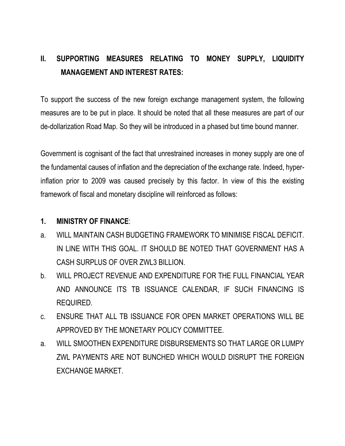### **II. SUPPORTING MEASURES RELATING TO MONEY SUPPLY, LIQUIDITY MANAGEMENT AND INTEREST RATES:**

To support the success of the new foreign exchange management system, the following measures are to be put in place. It should be noted that all these measures are part of our de-dollarization Road Map. So they will be introduced in a phased but time bound manner.

Government is cognisant of the fact that unrestrained increases in money supply are one of the fundamental causes of inflation and the depreciation of the exchange rate. Indeed, hyperinflation prior to 2009 was caused precisely by this factor. In view of this the existing framework of fiscal and monetary discipline will reinforced as follows:

#### **1. MINISTRY OF FINANCE**:

- a. WILL MAINTAIN CASH BUDGETING FRAMEWORK TO MINIMISE FISCAL DEFICIT. IN LINE WITH THIS GOAL. IT SHOULD BE NOTED THAT GOVERNMENT HAS A CASH SURPLUS OF OVER ZWL3 BILLION.
- b. WILL PROJECT REVENUE AND EXPENDITURE FOR THE FULL FINANCIAL YEAR AND ANNOUNCE ITS TB ISSUANCE CALENDAR, IF SUCH FINANCING IS REQUIRED.
- c. ENSURE THAT ALL TB ISSUANCE FOR OPEN MARKET OPERATIONS WILL BE APPROVED BY THE MONETARY POLICY COMMITTEE.
- a. WILL SMOOTHEN EXPENDITURE DISBURSEMENTS SO THAT LARGE OR LUMPY ZWL PAYMENTS ARE NOT BUNCHED WHICH WOULD DISRUPT THE FOREIGN EXCHANGE MARKET.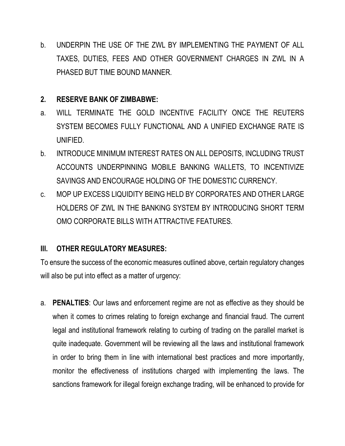b. UNDERPIN THE USE OF THE ZWL BY IMPLEMENTING THE PAYMENT OF ALL TAXES, DUTIES, FEES AND OTHER GOVERNMENT CHARGES IN ZWL IN A PHASED BUT TIME BOUND MANNER.

#### **2. RESERVE BANK OF ZIMBABWE:**

- a. WILL TERMINATE THE GOLD INCENTIVE FACILITY ONCE THE REUTERS SYSTEM BECOMES FULLY FUNCTIONAL AND A UNIFIED EXCHANGE RATE IS UNIFIED.
- b. INTRODUCE MINIMUM INTEREST RATES ON ALL DEPOSITS, INCLUDING TRUST ACCOUNTS UNDERPINNING MOBILE BANKING WALLETS, TO INCENTIVIZE SAVINGS AND ENCOURAGE HOLDING OF THE DOMESTIC CURRENCY.
- c. MOP UP EXCESS LIQUIDITY BEING HELD BY CORPORATES AND OTHER LARGE HOLDERS OF ZWL IN THE BANKING SYSTEM BY INTRODUCING SHORT TERM OMO CORPORATE BILLS WITH ATTRACTIVE FEATURES.

### **III. OTHER REGULATORY MEASURES:**

To ensure the success of the economic measures outlined above, certain regulatory changes will also be put into effect as a matter of urgency:

a. **PENALTIES**: Our laws and enforcement regime are not as effective as they should be when it comes to crimes relating to foreign exchange and financial fraud. The current legal and institutional framework relating to curbing of trading on the parallel market is quite inadequate. Government will be reviewing all the laws and institutional framework in order to bring them in line with international best practices and more importantly, monitor the effectiveness of institutions charged with implementing the laws. The sanctions framework for illegal foreign exchange trading, will be enhanced to provide for